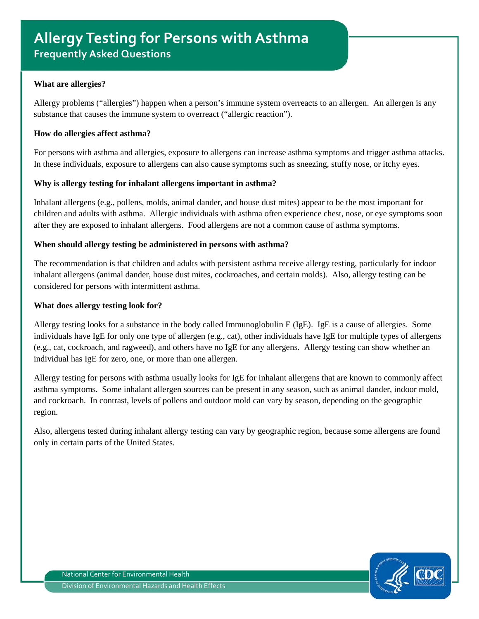### **What are allergies?**

Allergy problems ("allergies") happen when a person's immune system overreacts to an allergen. An allergen is any substance that causes the immune system to overreact ("allergic reaction").

#### **How do allergies affect asthma?**

For persons with asthma and allergies, exposure to allergens can increase asthma symptoms and trigger asthma attacks. In these individuals, exposure to allergens can also cause symptoms such as sneezing, stuffy nose, or itchy eyes.

### **Why is allergy testing for inhalant allergens important in asthma?**

Inhalant allergens (e.g., pollens, molds, animal dander, and house dust mites) appear to be the most important for children and adults with asthma. Allergic individuals with asthma often experience chest, nose, or eye symptoms soon after they are exposed to inhalant allergens. Food allergens are not a common cause of asthma symptoms.

### **When should allergy testing be administered in persons with asthma?**

The recommendation is that children and adults with persistent asthma receive allergy testing, particularly for indoor inhalant allergens (animal dander, house dust mites, cockroaches, and certain molds). Also, allergy testing can be considered for persons with intermittent asthma.

#### **What does allergy testing look for?**

Allergy testing looks for a substance in the body called Immunoglobulin E (IgE). IgE is a cause of allergies. Some individuals have IgE for only one type of allergen (e.g., cat), other individuals have IgE for multiple types of allergens (e.g., cat, cockroach, and ragweed), and others have no IgE for any allergens. Allergy testing can show whether an individual has IgE for zero, one, or more than one allergen.

Allergy testing for persons with asthma usually looks for IgE for inhalant allergens that are known to commonly affect asthma symptoms. Some inhalant allergen sources can be present in any season, such as animal dander, indoor mold, and cockroach. In contrast, levels of pollens and outdoor mold can vary by season, depending on the geographic region.

Also, allergens tested during inhalant allergy testing can vary by geographic region, because some allergens are found only in certain parts of the United States.